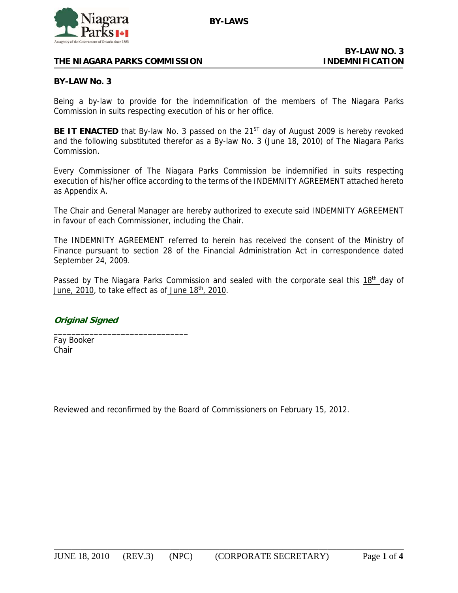

# **THE NIAGARA PARKS COMMISSION INDEMNIFICATION**

#### **BY-LAW No. 3**

Being a by-law to provide for the indemnification of the members of The Niagara Parks Commission in suits respecting execution of his or her office.

**BE IT ENACTED** that By-law No. 3 passed on the 21<sup>ST</sup> day of August 2009 is hereby revoked and the following substituted therefor as a By-law No. 3 (June 18, 2010) of The Niagara Parks Commission.

Every Commissioner of The Niagara Parks Commission be indemnified in suits respecting execution of his/her office according to the terms of the INDEMNITY AGREEMENT attached hereto as Appendix A.

The Chair and General Manager are hereby authorized to execute said INDEMNITY AGREEMENT in favour of each Commissioner, including the Chair.

The INDEMNITY AGREEMENT referred to herein has received the consent of the Ministry of Finance pursuant to section 28 of the Financial Administration Act in correspondence dated September 24, 2009.

Passed by The Niagara Parks Commission and sealed with the corporate seal this 18<sup>th</sup> day of June, 2010, to take effect as of June 18<sup>th</sup>, 2010.

**Original Signed**

\_\_\_\_\_\_\_\_\_\_\_\_\_\_\_\_\_\_\_\_\_\_\_\_\_\_\_\_\_\_

Fay Booker Chair

Reviewed and reconfirmed by the Board of Commissioners on February 15, 2012.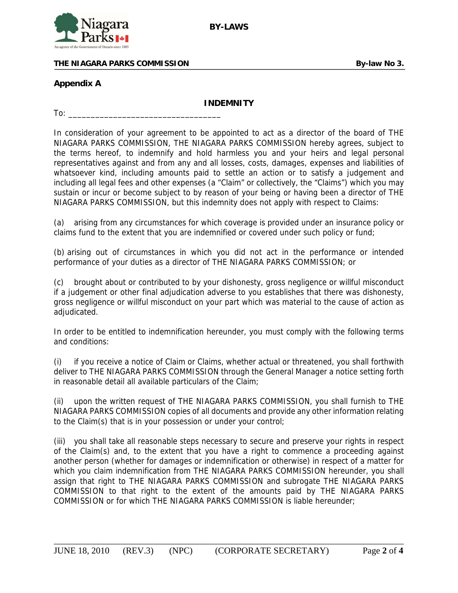

### THE NIAGARA PARKS COMMISSION **By-law No 3. By-law No 3.**

## **Appendix A**

### **INDEMNITY**

 $To:$ 

In consideration of your agreement to be appointed to act as a director of the board of THE NIAGARA PARKS COMMISSION, THE NIAGARA PARKS COMMISSION hereby agrees, subject to the terms hereof, to indemnify and hold harmless you and your heirs and legal personal representatives against and from any and all losses, costs, damages, expenses and liabilities of whatsoever kind, including amounts paid to settle an action or to satisfy a judgement and including all legal fees and other expenses (a "Claim" or collectively, the "Claims") which you may sustain or incur or become subject to by reason of your being or having been a director of THE NIAGARA PARKS COMMISSION, but this indemnity does not apply with respect to Claims:

(a) arising from any circumstances for which coverage is provided under an insurance policy or claims fund to the extent that you are indemnified or covered under such policy or fund;

(b) arising out of circumstances in which you did not act in the performance or intended performance of your duties as a director of THE NIAGARA PARKS COMMISSION; or

(c) brought about or contributed to by your dishonesty, gross negligence or willful misconduct if a judgement or other final adjudication adverse to you establishes that there was dishonesty, gross negligence or willful misconduct on your part which was material to the cause of action as adjudicated.

In order to be entitled to indemnification hereunder, you must comply with the following terms and conditions:

(i) if you receive a notice of Claim or Claims, whether actual or threatened, you shall forthwith deliver to THE NIAGARA PARKS COMMISSION through the General Manager a notice setting forth in reasonable detail all available particulars of the Claim;

(ii) upon the written request of THE NIAGARA PARKS COMMISSION, you shall furnish to THE NIAGARA PARKS COMMISSION copies of all documents and provide any other information relating to the Claim(s) that is in your possession or under your control;

(iii) you shall take all reasonable steps necessary to secure and preserve your rights in respect of the Claim(s) and, to the extent that you have a right to commence a proceeding against another person (whether for damages or indemnification or otherwise) in respect of a matter for which you claim indemnification from THE NIAGARA PARKS COMMISSION hereunder, you shall assign that right to THE NIAGARA PARKS COMMISSION and subrogate THE NIAGARA PARKS COMMISSION to that right to the extent of the amounts paid by THE NIAGARA PARKS COMMISSION or for which THE NIAGARA PARKS COMMISSION is liable hereunder;

\_\_\_\_\_\_\_\_\_\_\_\_\_\_\_\_\_\_\_\_\_\_\_\_\_\_\_\_\_\_\_\_\_\_\_\_\_\_\_\_\_\_\_\_\_\_\_\_\_\_\_\_\_\_\_\_\_\_\_\_\_\_\_\_\_\_\_\_\_\_\_\_\_\_\_\_\_\_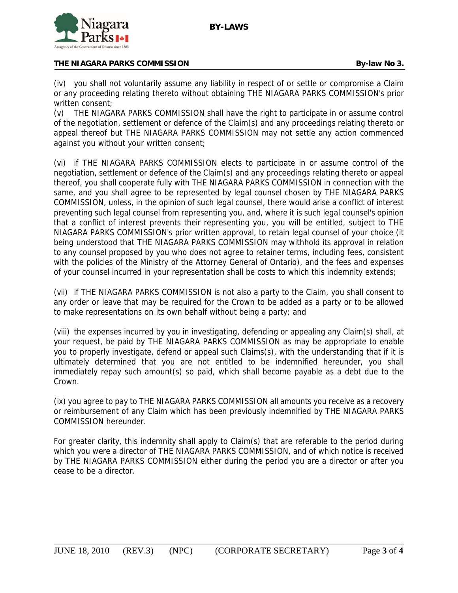

(iv) you shall not voluntarily assume any liability in respect of or settle or compromise a Claim or any proceeding relating thereto without obtaining THE NIAGARA PARKS COMMISSION's prior written consent;

(v) THE NIAGARA PARKS COMMISSION shall have the right to participate in or assume control of the negotiation, settlement or defence of the Claim(s) and any proceedings relating thereto or appeal thereof but THE NIAGARA PARKS COMMISSION may not settle any action commenced against you without your written consent;

(vi) if THE NIAGARA PARKS COMMISSION elects to participate in or assume control of the negotiation, settlement or defence of the Claim(s) and any proceedings relating thereto or appeal thereof, you shall cooperate fully with THE NIAGARA PARKS COMMISSION in connection with the same, and you shall agree to be represented by legal counsel chosen by THE NIAGARA PARKS COMMISSION, unless, in the opinion of such legal counsel, there would arise a conflict of interest preventing such legal counsel from representing you, and, where it is such legal counsel's opinion that a conflict of interest prevents their representing you, you will be entitled, subject to THE NIAGARA PARKS COMMISSION's prior written approval, to retain legal counsel of your choice (it being understood that THE NIAGARA PARKS COMMISSION may withhold its approval in relation to any counsel proposed by you who does not agree to retainer terms, including fees, consistent with the policies of the Ministry of the Attorney General of Ontario), and the fees and expenses of your counsel incurred in your representation shall be costs to which this indemnity extends;

(vii) if THE NIAGARA PARKS COMMISSION is not also a party to the Claim, you shall consent to any order or leave that may be required for the Crown to be added as a party or to be allowed to make representations on its own behalf without being a party; and

(viii) the expenses incurred by you in investigating, defending or appealing any Claim(s) shall, at your request, be paid by THE NIAGARA PARKS COMMISSION as may be appropriate to enable you to properly investigate, defend or appeal such Claims(s), with the understanding that if it is ultimately determined that you are not entitled to be indemnified hereunder, you shall immediately repay such amount(s) so paid, which shall become payable as a debt due to the Crown.

(ix) you agree to pay to THE NIAGARA PARKS COMMISSION all amounts you receive as a recovery or reimbursement of any Claim which has been previously indemnified by THE NIAGARA PARKS COMMISSION hereunder.

For greater clarity, this indemnity shall apply to Claim(s) that are referable to the period during which you were a director of THE NIAGARA PARKS COMMISSION, and of which notice is received by THE NIAGARA PARKS COMMISSION either during the period you are a director or after you cease to be a director.

\_\_\_\_\_\_\_\_\_\_\_\_\_\_\_\_\_\_\_\_\_\_\_\_\_\_\_\_\_\_\_\_\_\_\_\_\_\_\_\_\_\_\_\_\_\_\_\_\_\_\_\_\_\_\_\_\_\_\_\_\_\_\_\_\_\_\_\_\_\_\_\_\_\_\_\_\_\_